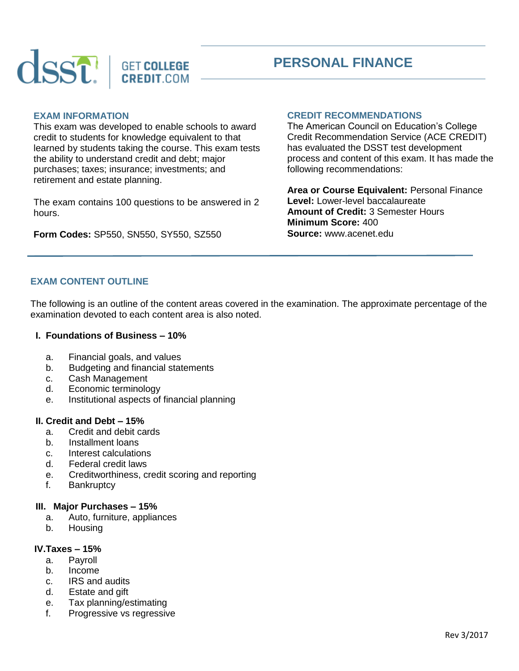



#### **EXAM INFORMATION**

This exam was developed to enable schools to award credit to students for knowledge equivalent to that learned by students taking the course. This exam tests the ability to understand credit and debt; major purchases; taxes; insurance; investments; and retirement and estate planning.

The exam contains 100 questions to be answered in 2 hours.

**Form Codes:** SP550, SN550, SY550, SZ550

## **CREDIT RECOMMENDATIONS**

The American Council on Education's College Credit Recommendation Service (ACE CREDIT) has evaluated the DSST test development process and content of this exam. It has made the following recommendations:

**Area or Course Equivalent:** Personal Finance **Level:** Lower-level baccalaureate **Amount of Credit:** 3 Semester Hours **Minimum Score:** 400 **Source:** www.acenet.edu

# **EXAM CONTENT OUTLINE**

The following is an outline of the content areas covered in the examination. The approximate percentage of the examination devoted to each content area is also noted.

#### **I. Foundations of Business – 10%**

- a. Financial goals, and values
- b. Budgeting and financial statements
- c. Cash Management
- d. Economic terminology
- e. Institutional aspects of financial planning

#### **II. Credit and Debt – 15%**

- a. Credit and debit cards
- b. Installment loans
- c. Interest calculations
- d. Federal credit laws
- e. Creditworthiness, credit scoring and reporting
- f. Bankruptcy

#### **III. Major Purchases – 15%**

- a. Auto, furniture, appliances
- b. Housing

#### **IV.Taxes – 15%**

- a. Payroll
- b. Income
- c. IRS and audits
- d. Estate and gift
- e. Tax planning/estimating
- f. Progressive vs regressive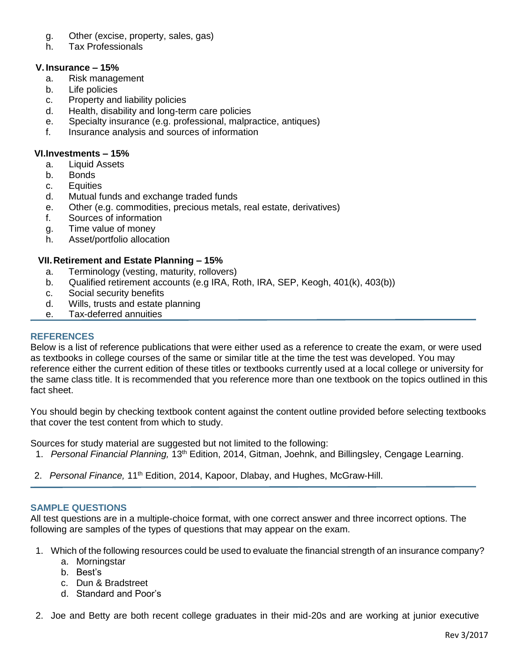- g. Other (excise, property, sales, gas)
- h. Tax Professionals

## **V. Insurance – 15%**

- a. Risk management
- b. Life policies
- c. Property and liability policies
- d. Health, disability and long-term care policies
- e. Specialty insurance (e.g. professional, malpractice, antiques)
- f. Insurance analysis and sources of information

## **VI.Investments – 15%**

- a. Liquid Assets
- b. Bonds
- c. Equities
- d. Mutual funds and exchange traded funds
- e. Other (e.g. commodities, precious metals, real estate, derivatives)
- f. Sources of information
- g. Time value of money
- h. Asset/portfolio allocation

## **VII.Retirement and Estate Planning – 15%**

- a. Terminology (vesting, maturity, rollovers)
- b. Qualified retirement accounts (e.g IRA, Roth, IRA, SEP, Keogh, 401(k), 403(b))
- c. Social security benefits
- d. Wills, trusts and estate planning
- e. Tax-deferred annuities

### **REFERENCES**

Below is a list of reference publications that were either used as a reference to create the exam, or were used as textbooks in college courses of the same or similar title at the time the test was developed. You may reference either the current edition of these titles or textbooks currently used at a local college or university for the same class title. It is recommended that you reference more than one textbook on the topics outlined in this fact sheet.

You should begin by checking textbook content against the content outline provided before selecting textbooks that cover the test content from which to study.

Sources for study material are suggested but not limited to the following:

- 1. *Personal Financial Planning,* 13th Edition, 2014, Gitman, Joehnk, and Billingsley, Cengage Learning.
- 2. *Personal Finance,* 11th Edition, 2014, Kapoor, Dlabay, and Hughes, McGraw-Hill.

#### **SAMPLE QUESTIONS**

All test questions are in a multiple-choice format, with one correct answer and three incorrect options. The following are samples of the types of questions that may appear on the exam.

- 1. Which of the following resources could be used to evaluate the financial strength of an insurance company?
	- a. Morningstar
	- b. Best's
	- c. Dun & Bradstreet
	- d. Standard and Poor's
- 2. Joe and Betty are both recent college graduates in their mid-20s and are working at junior executive